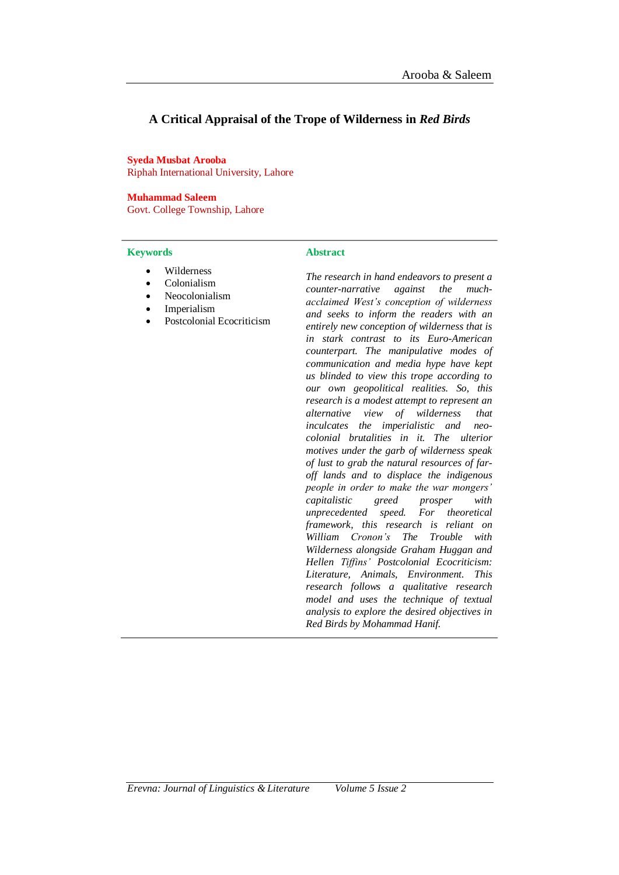# **A Critical Appraisal of the Trope of Wilderness in** *Red Birds*

**Syeda Musbat Arooba** Riphah International University, Lahore

**Muhammad Saleem** Govt. College Township, Lahore

### **Keywords Abstract**

- Wilderness
- Colonialism Neocolonialism
- Imperialism
- Postcolonial Ecocriticism

*The research in hand endeavors to present a counter-narrative against the muchacclaimed West's conception of wilderness and seeks to inform the readers with an entirely new conception of wilderness that is in stark contrast to its Euro-American counterpart. The manipulative modes of communication and media hype have kept us blinded to view this trope according to our own geopolitical realities. So, this research is a modest attempt to represent an alternative view of wilderness that inculcates the imperialistic and neocolonial brutalities in it. The ulterior motives under the garb of wilderness speak of lust to grab the natural resources of faroff lands and to displace the indigenous people in order to make the war mongers' capitalistic greed prosper with unprecedented speed. For theoretical framework, this research is reliant on William Cronon's The Trouble with Wilderness alongside Graham Huggan and Hellen Tiffins' Postcolonial Ecocriticism: Literature, Animals, Environment. This research follows a qualitative research model and uses the technique of textual analysis to explore the desired objectives in Red Birds by Mohammad Hanif.*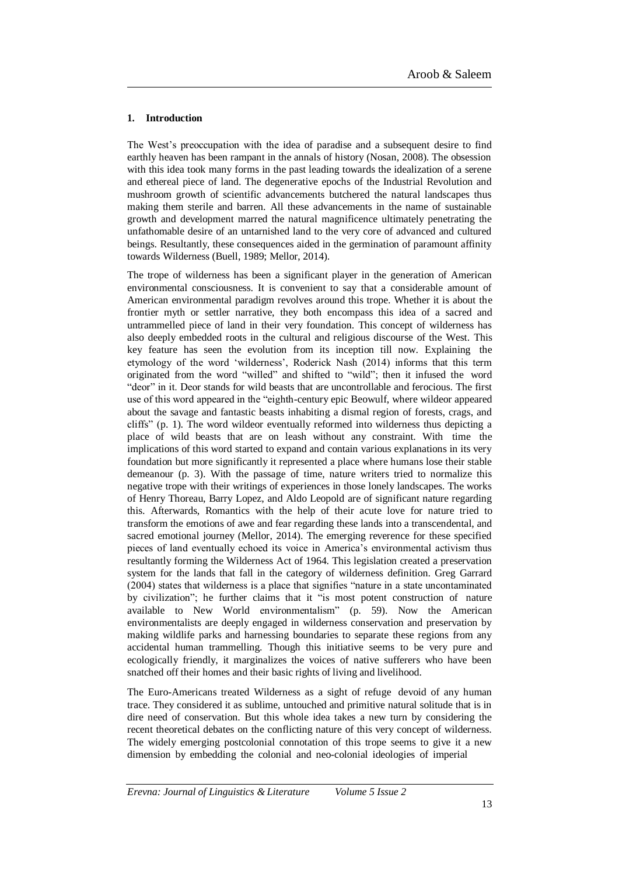### **1. Introduction**

The West's preoccupation with the idea of paradise and a subsequent desire to find earthly heaven has been rampant in the annals of history (Nosan, 2008). The obsession with this idea took many forms in the past leading towards the idealization of a serene and ethereal piece of land. The degenerative epochs of the Industrial Revolution and mushroom growth of scientific advancements butchered the natural landscapes thus making them sterile and barren. All these advancements in the name of sustainable growth and development marred the natural magnificence ultimately penetrating the unfathomable desire of an untarnished land to the very core of advanced and cultured beings. Resultantly, these consequences aided in the germination of paramount affinity towards Wilderness (Buell, 1989; Mellor, 2014).

The trope of wilderness has been a significant player in the generation of American environmental consciousness. It is convenient to say that a considerable amount of American environmental paradigm revolves around this trope. Whether it is about the frontier myth or settler narrative, they both encompass this idea of a sacred and untrammelled piece of land in their very foundation. This concept of wilderness has also deeply embedded roots in the cultural and religious discourse of the West. This key feature has seen the evolution from its inception till now. Explaining the etymology of the word 'wilderness', Roderick Nash (2014) informs that this term originated from the word "willed" and shifted to "wild"; then it infused the word "deor" in it. Deor stands for wild beasts that are uncontrollable and ferocious. The first use of this word appeared in the "eighth-century epic Beowulf, where wildeor appeared about the savage and fantastic beasts inhabiting a dismal region of forests, crags, and cliffs" (p. 1). The word wildeor eventually reformed into wilderness thus depicting a place of wild beasts that are on leash without any constraint. With time the implications of this word started to expand and contain various explanations in its very foundation but more significantly it represented a place where humans lose their stable demeanour (p. 3). With the passage of time, nature writers tried to normalize this negative trope with their writings of experiences in those lonely landscapes. The works of Henry Thoreau, Barry Lopez, and Aldo Leopold are of significant nature regarding this. Afterwards, Romantics with the help of their acute love for nature tried to transform the emotions of awe and fear regarding these lands into a transcendental, and sacred emotional journey (Mellor, 2014). The emerging reverence for these specified pieces of land eventually echoed its voice in America's environmental activism thus resultantly forming the Wilderness Act of 1964. This legislation created a preservation system for the lands that fall in the category of wilderness definition. Greg Garrard (2004) states that wilderness is a place that signifies "nature in a state uncontaminated by civilization"; he further claims that it "is most potent construction of nature available to New World environmentalism" (p. 59). Now the American environmentalists are deeply engaged in wilderness conservation and preservation by making wildlife parks and harnessing boundaries to separate these regions from any accidental human trammelling. Though this initiative seems to be very pure and ecologically friendly, it marginalizes the voices of native sufferers who have been snatched off their homes and their basic rights of living and livelihood.

The Euro-Americans treated Wilderness as a sight of refuge devoid of any human trace. They considered it as sublime, untouched and primitive natural solitude that is in dire need of conservation. But this whole idea takes a new turn by considering the recent theoretical debates on the conflicting nature of this very concept of wilderness. The widely emerging postcolonial connotation of this trope seems to give it a new dimension by embedding the colonial and neo-colonial ideologies of imperial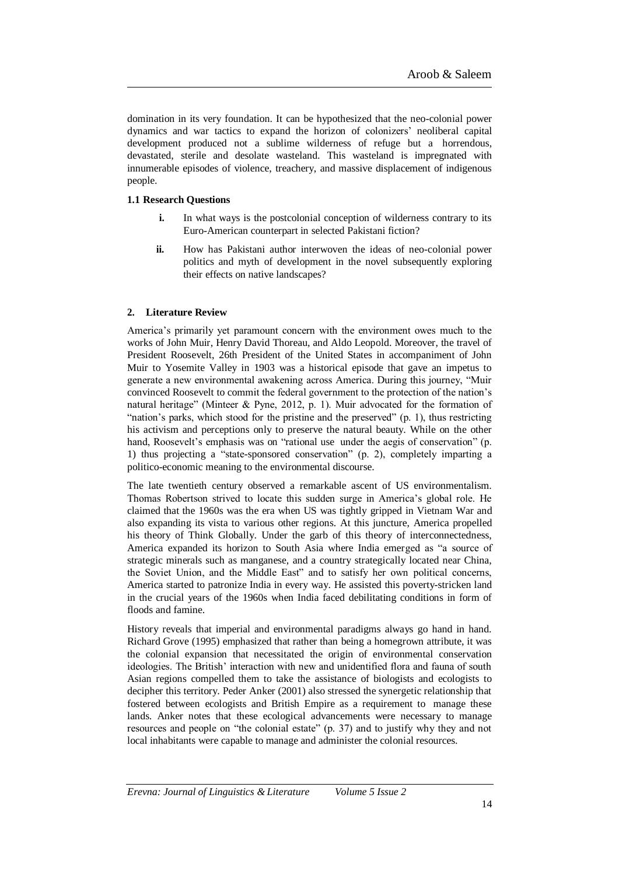domination in its very foundation. It can be hypothesized that the neo-colonial power dynamics and war tactics to expand the horizon of colonizers' neoliberal capital development produced not a sublime wilderness of refuge but a horrendous, devastated, sterile and desolate wasteland. This wasteland is impregnated with innumerable episodes of violence, treachery, and massive displacement of indigenous people.

#### **1.1 Research Questions**

- **i.** In what ways is the postcolonial conception of wilderness contrary to its Euro-American counterpart in selected Pakistani fiction?
- **ii.** How has Pakistani author interwoven the ideas of neo-colonial power politics and myth of development in the novel subsequently exploring their effects on native landscapes?

#### **2. Literature Review**

America's primarily yet paramount concern with the environment owes much to the works of John Muir, Henry David Thoreau, and Aldo Leopold. Moreover, the travel of President Roosevelt, 26th President of the United States in accompaniment of John Muir to Yosemite Valley in 1903 was a historical episode that gave an impetus to generate a new environmental awakening across America. During this journey, "Muir convinced Roosevelt to commit the federal government to the protection of the nation's natural heritage" (Minteer & Pyne, 2012, p. 1). Muir advocated for the formation of "nation's parks, which stood for the pristine and the preserved" (p. 1), thus restricting his activism and perceptions only to preserve the natural beauty. While on the other hand, Roosevelt's emphasis was on "rational use under the aegis of conservation" (p. 1) thus projecting a "state-sponsored conservation" (p. 2), completely imparting a politico-economic meaning to the environmental discourse.

The late twentieth century observed a remarkable ascent of US environmentalism. Thomas Robertson strived to locate this sudden surge in America's global role. He claimed that the 1960s was the era when US was tightly gripped in Vietnam War and also expanding its vista to various other regions. At this juncture, America propelled his theory of Think Globally. Under the garb of this theory of interconnectedness, America expanded its horizon to South Asia where India emerged as "a source of strategic minerals such as manganese, and a country strategically located near China, the Soviet Union, and the Middle East" and to satisfy her own political concerns, America started to patronize India in every way. He assisted this poverty-stricken land in the crucial years of the 1960s when India faced debilitating conditions in form of floods and famine.

History reveals that imperial and environmental paradigms always go hand in hand. Richard Grove (1995) emphasized that rather than being a homegrown attribute, it was the colonial expansion that necessitated the origin of environmental conservation ideologies. The British' interaction with new and unidentified flora and fauna of south Asian regions compelled them to take the assistance of biologists and ecologists to decipher this territory. Peder Anker (2001) also stressed the synergetic relationship that fostered between ecologists and British Empire as a requirement to manage these lands. Anker notes that these ecological advancements were necessary to manage resources and people on "the colonial estate" (p. 37) and to justify why they and not local inhabitants were capable to manage and administer the colonial resources.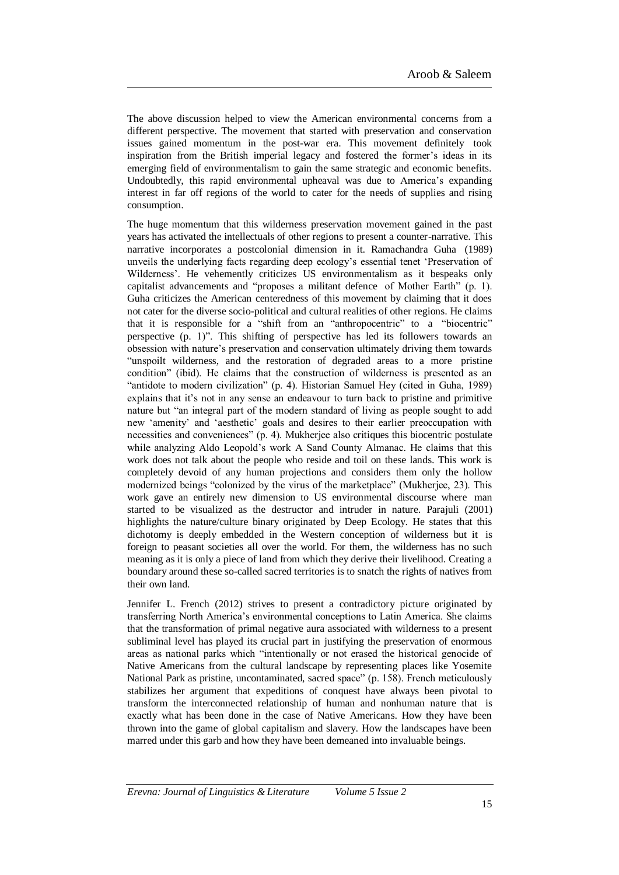The above discussion helped to view the American environmental concerns from a different perspective. The movement that started with preservation and conservation issues gained momentum in the post-war era. This movement definitely took inspiration from the British imperial legacy and fostered the former's ideas in its emerging field of environmentalism to gain the same strategic and economic benefits. Undoubtedly, this rapid environmental upheaval was due to America's expanding interest in far off regions of the world to cater for the needs of supplies and rising consumption.

The huge momentum that this wilderness preservation movement gained in the past years has activated the intellectuals of other regions to present a counter-narrative. This narrative incorporates a postcolonial dimension in it. Ramachandra Guha (1989) unveils the underlying facts regarding deep ecology's essential tenet 'Preservation of Wilderness'. He vehemently criticizes US environmentalism as it bespeaks only capitalist advancements and "proposes a militant defence of Mother Earth" (p. 1). Guha criticizes the American centeredness of this movement by claiming that it does not cater for the diverse socio-political and cultural realities of other regions. He claims that it is responsible for a "shift from an "anthropocentric" to a "biocentric" perspective (p. 1)". This shifting of perspective has led its followers towards an obsession with nature's preservation and conservation ultimately driving them towards "unspoilt wilderness, and the restoration of degraded areas to a more pristine condition" (ibid). He claims that the construction of wilderness is presented as an "antidote to modern civilization" (p. 4). Historian Samuel Hey (cited in Guha, 1989) explains that it's not in any sense an endeavour to turn back to pristine and primitive nature but "an integral part of the modern standard of living as people sought to add new 'amenity' and 'aesthetic' goals and desires to their earlier preoccupation with necessities and conveniences" (p. 4). Mukherjee also critiques this biocentric postulate while analyzing Aldo Leopold's work A Sand County Almanac. He claims that this work does not talk about the people who reside and toil on these lands. This work is completely devoid of any human projections and considers them only the hollow modernized beings "colonized by the virus of the marketplace" (Mukherjee, 23). This work gave an entirely new dimension to US environmental discourse where man started to be visualized as the destructor and intruder in nature. Parajuli (2001) highlights the nature/culture binary originated by Deep Ecology. He states that this dichotomy is deeply embedded in the Western conception of wilderness but it is foreign to peasant societies all over the world. For them, the wilderness has no such meaning as it is only a piece of land from which they derive their livelihood. Creating a boundary around these so-called sacred territories is to snatch the rights of natives from their own land.

Jennifer L. French (2012) strives to present a contradictory picture originated by transferring North America's environmental conceptions to Latin America. She claims that the transformation of primal negative aura associated with wilderness to a present subliminal level has played its crucial part in justifying the preservation of enormous areas as national parks which "intentionally or not erased the historical genocide of Native Americans from the cultural landscape by representing places like Yosemite National Park as pristine, uncontaminated, sacred space" (p. 158). French meticulously stabilizes her argument that expeditions of conquest have always been pivotal to transform the interconnected relationship of human and nonhuman nature that is exactly what has been done in the case of Native Americans. How they have been thrown into the game of global capitalism and slavery. How the landscapes have been marred under this garb and how they have been demeaned into invaluable beings.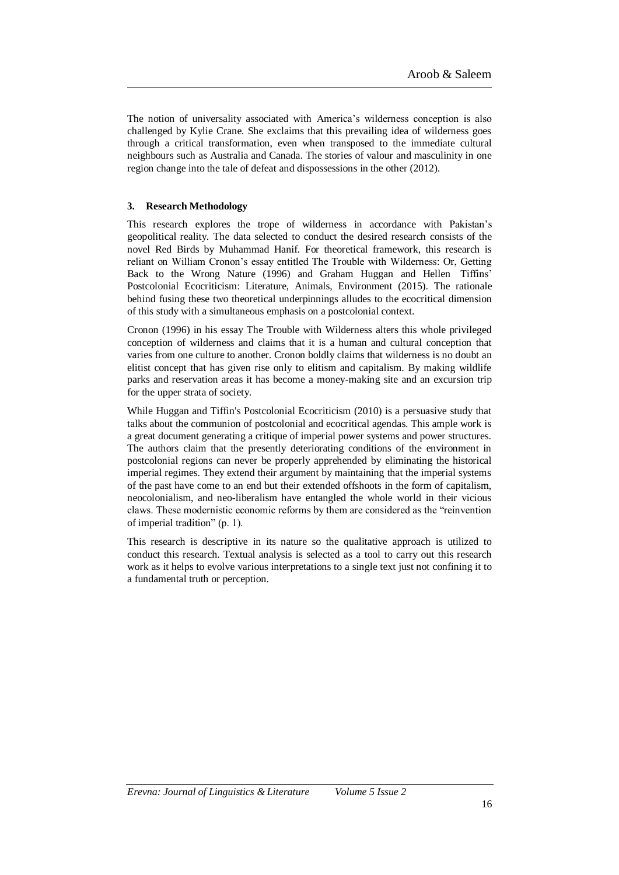The notion of universality associated with America's wilderness conception is also challenged by Kylie Crane. She exclaims that this prevailing idea of wilderness goes through a critical transformation, even when transposed to the immediate cultural neighbours such as Australia and Canada. The stories of valour and masculinity in one region change into the tale of defeat and dispossessions in the other (2012).

#### **3. Research Methodology**

This research explores the trope of wilderness in accordance with Pakistan's geopolitical reality. The data selected to conduct the desired research consists of the novel Red Birds by Muhammad Hanif. For theoretical framework, this research is reliant on William Cronon's essay entitled The Trouble with Wilderness: Or, Getting Back to the Wrong Nature (1996) and Graham Huggan and Hellen Tiffins' Postcolonial Ecocriticism: Literature, Animals, Environment (2015). The rationale behind fusing these two theoretical underpinnings alludes to the ecocritical dimension of this study with a simultaneous emphasis on a postcolonial context.

Cronon (1996) in his essay The Trouble with Wilderness alters this whole privileged conception of wilderness and claims that it is a human and cultural conception that varies from one culture to another. Cronon boldly claims that wilderness is no doubt an elitist concept that has given rise only to elitism and capitalism. By making wildlife parks and reservation areas it has become a money-making site and an excursion trip for the upper strata of society.

While Huggan and Tiffin's Postcolonial Ecocriticism (2010) is a persuasive study that talks about the communion of postcolonial and ecocritical agendas. This ample work is a great document generating a critique of imperial power systems and power structures. The authors claim that the presently deteriorating conditions of the environment in postcolonial regions can never be properly apprehended by eliminating the historical imperial regimes. They extend their argument by maintaining that the imperial systems of the past have come to an end but their extended offshoots in the form of capitalism, neocolonialism, and neo-liberalism have entangled the whole world in their vicious claws. These modernistic economic reforms by them are considered as the "reinvention of imperial tradition" (p. 1).

This research is descriptive in its nature so the qualitative approach is utilized to conduct this research. Textual analysis is selected as a tool to carry out this research work as it helps to evolve various interpretations to a single text just not confining it to a fundamental truth or perception.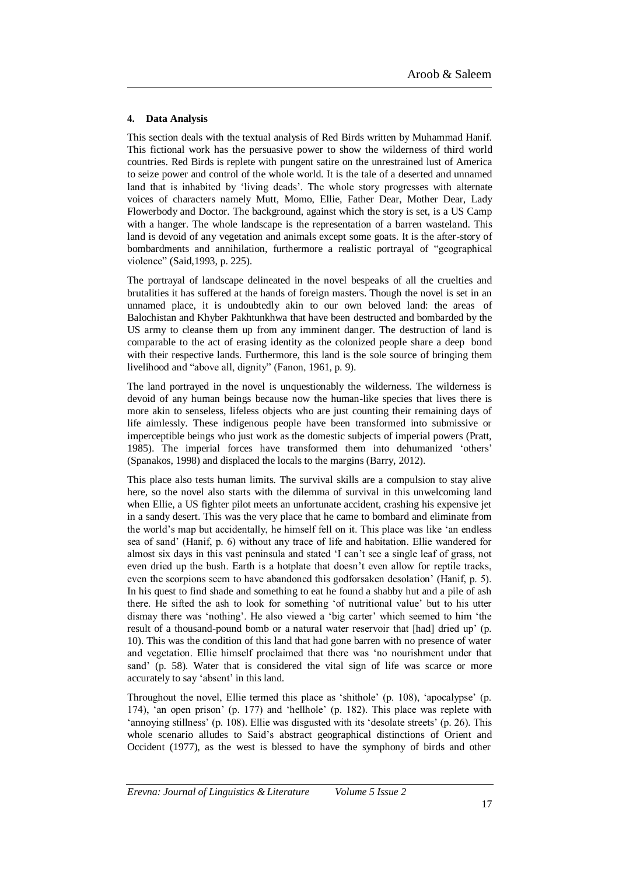### **4. Data Analysis**

This section deals with the textual analysis of Red Birds written by Muhammad Hanif. This fictional work has the persuasive power to show the wilderness of third world countries. Red Birds is replete with pungent satire on the unrestrained lust of America to seize power and control of the whole world. It is the tale of a deserted and unnamed land that is inhabited by 'living deads'. The whole story progresses with alternate voices of characters namely Mutt, Momo, Ellie, Father Dear, Mother Dear, Lady Flowerbody and Doctor. The background, against which the story is set, is a US Camp with a hanger. The whole landscape is the representation of a barren wasteland. This land is devoid of any vegetation and animals except some goats. It is the after-story of bombardments and annihilation, furthermore a realistic portrayal of "geographical violence" (Said,1993, p. 225).

The portrayal of landscape delineated in the novel bespeaks of all the cruelties and brutalities it has suffered at the hands of foreign masters. Though the novel is set in an unnamed place, it is undoubtedly akin to our own beloved land: the areas of Balochistan and Khyber Pakhtunkhwa that have been destructed and bombarded by the US army to cleanse them up from any imminent danger. The destruction of land is comparable to the act of erasing identity as the colonized people share a deep bond with their respective lands. Furthermore, this land is the sole source of bringing them livelihood and "above all, dignity" (Fanon, 1961, p. 9).

The land portrayed in the novel is unquestionably the wilderness. The wilderness is devoid of any human beings because now the human-like species that lives there is more akin to senseless, lifeless objects who are just counting their remaining days of life aimlessly. These indigenous people have been transformed into submissive or imperceptible beings who just work as the domestic subjects of imperial powers (Pratt, 1985). The imperial forces have transformed them into dehumanized 'others' (Spanakos, 1998) and displaced the locals to the margins (Barry, 2012).

This place also tests human limits. The survival skills are a compulsion to stay alive here, so the novel also starts with the dilemma of survival in this unwelcoming land when Ellie, a US fighter pilot meets an unfortunate accident, crashing his expensive jet in a sandy desert. This was the very place that he came to bombard and eliminate from the world's map but accidentally, he himself fell on it. This place was like 'an endless sea of sand' (Hanif, p. 6) without any trace of life and habitation. Ellie wandered for almost six days in this vast peninsula and stated 'I can't see a single leaf of grass, not even dried up the bush. Earth is a hotplate that doesn't even allow for reptile tracks, even the scorpions seem to have abandoned this godforsaken desolation' (Hanif, p. 5). In his quest to find shade and something to eat he found a shabby hut and a pile of ash there. He sifted the ash to look for something 'of nutritional value' but to his utter dismay there was 'nothing'. He also viewed a 'big carter' which seemed to him 'the result of a thousand-pound bomb or a natural water reservoir that [had] dried up' (p. 10). This was the condition of this land that had gone barren with no presence of water and vegetation. Ellie himself proclaimed that there was 'no nourishment under that sand' (p. 58). Water that is considered the vital sign of life was scarce or more accurately to say 'absent' in this land.

Throughout the novel, Ellie termed this place as 'shithole' (p. 108), 'apocalypse' (p. 174), 'an open prison' (p. 177) and 'hellhole' (p. 182). This place was replete with 'annoying stillness' (p. 108). Ellie was disgusted with its 'desolate streets' (p. 26). This whole scenario alludes to Said's abstract geographical distinctions of Orient and Occident (1977), as the west is blessed to have the symphony of birds and other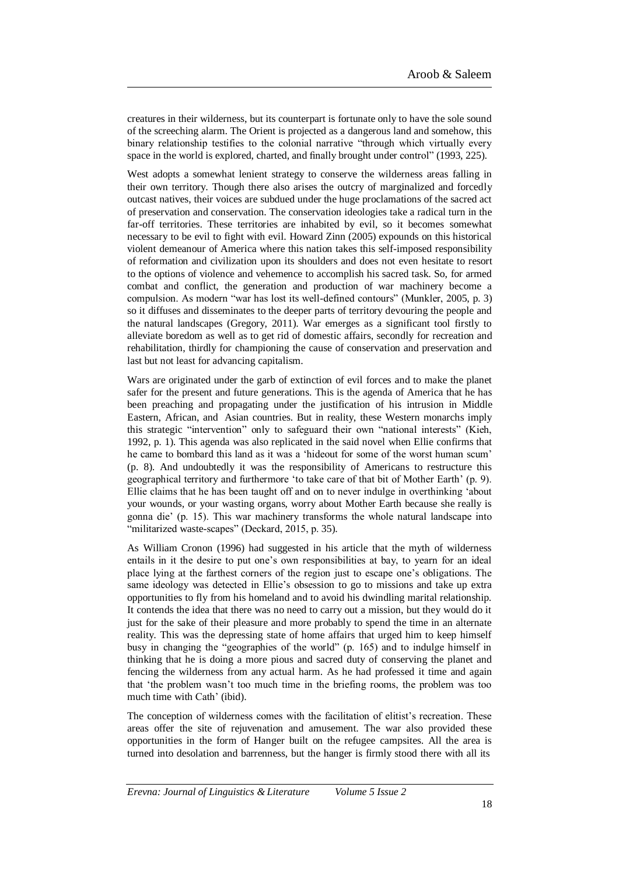creatures in their wilderness, but its counterpart is fortunate only to have the sole sound of the screeching alarm. The Orient is projected as a dangerous land and somehow, this binary relationship testifies to the colonial narrative "through which virtually every space in the world is explored, charted, and finally brought under control" (1993, 225).

West adopts a somewhat lenient strategy to conserve the wilderness areas falling in their own territory. Though there also arises the outcry of marginalized and forcedly outcast natives, their voices are subdued under the huge proclamations of the sacred act of preservation and conservation. The conservation ideologies take a radical turn in the far-off territories. These territories are inhabited by evil, so it becomes somewhat necessary to be evil to fight with evil. Howard Zinn (2005) expounds on this historical violent demeanour of America where this nation takes this self-imposed responsibility of reformation and civilization upon its shoulders and does not even hesitate to resort to the options of violence and vehemence to accomplish his sacred task. So, for armed combat and conflict, the generation and production of war machinery become a compulsion. As modern "war has lost its well-defined contours" (Munkler, 2005, p. 3) so it diffuses and disseminates to the deeper parts of territory devouring the people and the natural landscapes (Gregory, 2011). War emerges as a significant tool firstly to alleviate boredom as well as to get rid of domestic affairs, secondly for recreation and rehabilitation, thirdly for championing the cause of conservation and preservation and last but not least for advancing capitalism.

Wars are originated under the garb of extinction of evil forces and to make the planet safer for the present and future generations. This is the agenda of America that he has been preaching and propagating under the justification of his intrusion in Middle Eastern, African, and Asian countries. But in reality, these Western monarchs imply this strategic "intervention" only to safeguard their own "national interests" (Kieh, 1992, p. 1). This agenda was also replicated in the said novel when Ellie confirms that he came to bombard this land as it was a 'hideout for some of the worst human scum' (p. 8). And undoubtedly it was the responsibility of Americans to restructure this geographical territory and furthermore 'to take care of that bit of Mother Earth' (p. 9). Ellie claims that he has been taught off and on to never indulge in overthinking 'about your wounds, or your wasting organs, worry about Mother Earth because she really is gonna die' (p. 15). This war machinery transforms the whole natural landscape into "militarized waste-scapes" (Deckard, 2015, p. 35).

As William Cronon (1996) had suggested in his article that the myth of wilderness entails in it the desire to put one's own responsibilities at bay, to yearn for an ideal place lying at the farthest corners of the region just to escape one's obligations. The same ideology was detected in Ellie's obsession to go to missions and take up extra opportunities to fly from his homeland and to avoid his dwindling marital relationship. It contends the idea that there was no need to carry out a mission, but they would do it just for the sake of their pleasure and more probably to spend the time in an alternate reality. This was the depressing state of home affairs that urged him to keep himself busy in changing the "geographies of the world" (p. 165) and to indulge himself in thinking that he is doing a more pious and sacred duty of conserving the planet and fencing the wilderness from any actual harm. As he had professed it time and again that 'the problem wasn't too much time in the briefing rooms, the problem was too much time with Cath' (ibid).

The conception of wilderness comes with the facilitation of elitist's recreation. These areas offer the site of rejuvenation and amusement. The war also provided these opportunities in the form of Hanger built on the refugee campsites. All the area is turned into desolation and barrenness, but the hanger is firmly stood there with all its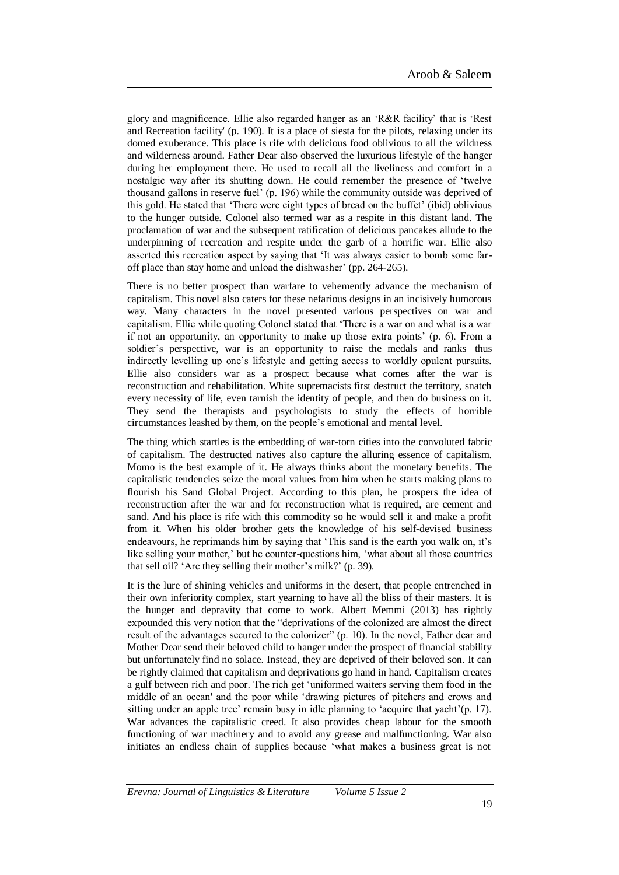glory and magnificence. Ellie also regarded hanger as an 'R&R facility' that is 'Rest and Recreation facility' (p. 190). It is a place of siesta for the pilots, relaxing under its domed exuberance. This place is rife with delicious food oblivious to all the wildness and wilderness around. Father Dear also observed the luxurious lifestyle of the hanger during her employment there. He used to recall all the liveliness and comfort in a nostalgic way after its shutting down. He could remember the presence of 'twelve thousand gallons in reserve fuel' (p. 196) while the community outside was deprived of this gold. He stated that 'There were eight types of bread on the buffet' (ibid) oblivious to the hunger outside. Colonel also termed war as a respite in this distant land. The proclamation of war and the subsequent ratification of delicious pancakes allude to the underpinning of recreation and respite under the garb of a horrific war. Ellie also asserted this recreation aspect by saying that 'It was always easier to bomb some faroff place than stay home and unload the dishwasher' (pp. 264-265).

There is no better prospect than warfare to vehemently advance the mechanism of capitalism. This novel also caters for these nefarious designs in an incisively humorous way. Many characters in the novel presented various perspectives on war and capitalism. Ellie while quoting Colonel stated that 'There is a war on and what is a war if not an opportunity, an opportunity to make up those extra points' (p. 6). From a soldier's perspective, war is an opportunity to raise the medals and ranks thus indirectly levelling up one's lifestyle and getting access to worldly opulent pursuits. Ellie also considers war as a prospect because what comes after the war is reconstruction and rehabilitation. White supremacists first destruct the territory, snatch every necessity of life, even tarnish the identity of people, and then do business on it. They send the therapists and psychologists to study the effects of horrible circumstances leashed by them, on the people's emotional and mental level.

The thing which startles is the embedding of war-torn cities into the convoluted fabric of capitalism. The destructed natives also capture the alluring essence of capitalism. Momo is the best example of it. He always thinks about the monetary benefits. The capitalistic tendencies seize the moral values from him when he starts making plans to flourish his Sand Global Project. According to this plan, he prospers the idea of reconstruction after the war and for reconstruction what is required, are cement and sand. And his place is rife with this commodity so he would sell it and make a profit from it. When his older brother gets the knowledge of his self-devised business endeavours, he reprimands him by saying that 'This sand is the earth you walk on, it's like selling your mother,' but he counter-questions him, 'what about all those countries that sell oil? 'Are they selling their mother's milk?' (p. 39).

It is the lure of shining vehicles and uniforms in the desert, that people entrenched in their own inferiority complex, start yearning to have all the bliss of their masters. It is the hunger and depravity that come to work. Albert Memmi (2013) has rightly expounded this very notion that the "deprivations of the colonized are almost the direct result of the advantages secured to the colonizer" (p. 10). In the novel, Father dear and Mother Dear send their beloved child to hanger under the prospect of financial stability but unfortunately find no solace. Instead, they are deprived of their beloved son. It can be rightly claimed that capitalism and deprivations go hand in hand. Capitalism creates a gulf between rich and poor. The rich get 'uniformed waiters serving them food in the middle of an ocean' and the poor while 'drawing pictures of pitchers and crows and sitting under an apple tree' remain busy in idle planning to 'acquire that yacht'(p. 17). War advances the capitalistic creed. It also provides cheap labour for the smooth functioning of war machinery and to avoid any grease and malfunctioning. War also initiates an endless chain of supplies because 'what makes a business great is not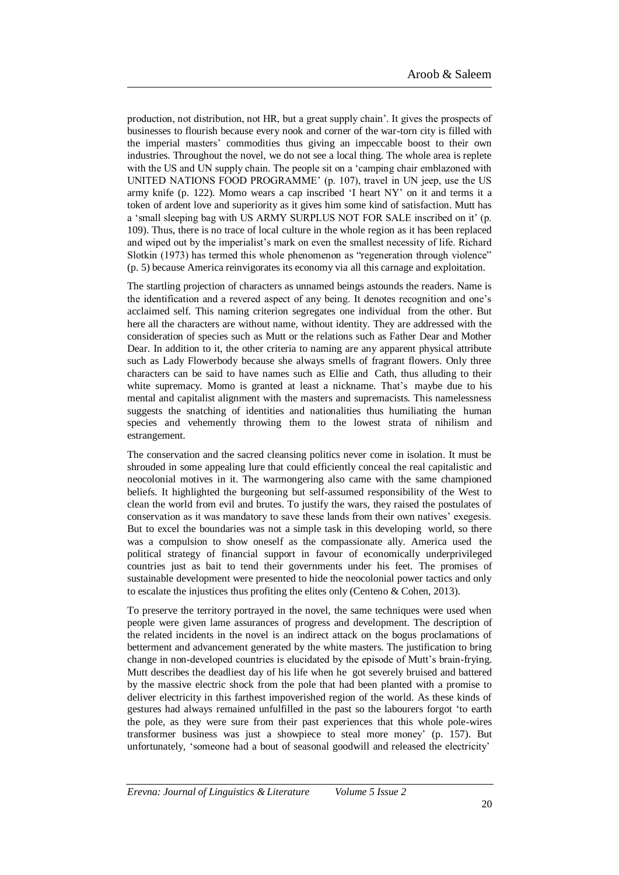production, not distribution, not HR, but a great supply chain'. It gives the prospects of businesses to flourish because every nook and corner of the war-torn city is filled with the imperial masters' commodities thus giving an impeccable boost to their own industries. Throughout the novel, we do not see a local thing. The whole area is replete with the US and UN supply chain. The people sit on a 'camping chair emblazoned with UNITED NATIONS FOOD PROGRAMME' (p. 107), travel in UN jeep, use the US army knife (p. 122). Momo wears a cap inscribed 'I heart NY' on it and terms it a token of ardent love and superiority as it gives him some kind of satisfaction. Mutt has a 'small sleeping bag with US ARMY SURPLUS NOT FOR SALE inscribed on it' (p. 109). Thus, there is no trace of local culture in the whole region as it has been replaced and wiped out by the imperialist's mark on even the smallest necessity of life. Richard Slotkin (1973) has termed this whole phenomenon as "regeneration through violence" (p. 5) because America reinvigorates its economy via all this carnage and exploitation.

The startling projection of characters as unnamed beings astounds the readers. Name is the identification and a revered aspect of any being. It denotes recognition and one's acclaimed self. This naming criterion segregates one individual from the other. But here all the characters are without name, without identity. They are addressed with the consideration of species such as Mutt or the relations such as Father Dear and Mother Dear. In addition to it, the other criteria to naming are any apparent physical attribute such as Lady Flowerbody because she always smells of fragrant flowers. Only three characters can be said to have names such as Ellie and Cath, thus alluding to their white supremacy. Momo is granted at least a nickname. That's maybe due to his mental and capitalist alignment with the masters and supremacists. This namelessness suggests the snatching of identities and nationalities thus humiliating the human species and vehemently throwing them to the lowest strata of nihilism and estrangement.

The conservation and the sacred cleansing politics never come in isolation. It must be shrouded in some appealing lure that could efficiently conceal the real capitalistic and neocolonial motives in it. The warmongering also came with the same championed beliefs. It highlighted the burgeoning but self-assumed responsibility of the West to clean the world from evil and brutes. To justify the wars, they raised the postulates of conservation as it was mandatory to save these lands from their own natives' exegesis. But to excel the boundaries was not a simple task in this developing world, so there was a compulsion to show oneself as the compassionate ally. America used the political strategy of financial support in favour of economically underprivileged countries just as bait to tend their governments under his feet. The promises of sustainable development were presented to hide the neocolonial power tactics and only to escalate the injustices thus profiting the elites only (Centeno & Cohen, 2013).

To preserve the territory portrayed in the novel, the same techniques were used when people were given lame assurances of progress and development. The description of the related incidents in the novel is an indirect attack on the bogus proclamations of betterment and advancement generated by the white masters. The justification to bring change in non-developed countries is elucidated by the episode of Mutt's brain-frying. Mutt describes the deadliest day of his life when he got severely bruised and battered by the massive electric shock from the pole that had been planted with a promise to deliver electricity in this farthest impoverished region of the world. As these kinds of gestures had always remained unfulfilled in the past so the labourers forgot 'to earth the pole, as they were sure from their past experiences that this whole pole-wires transformer business was just a showpiece to steal more money' (p. 157). But unfortunately, 'someone had a bout of seasonal goodwill and released the electricity'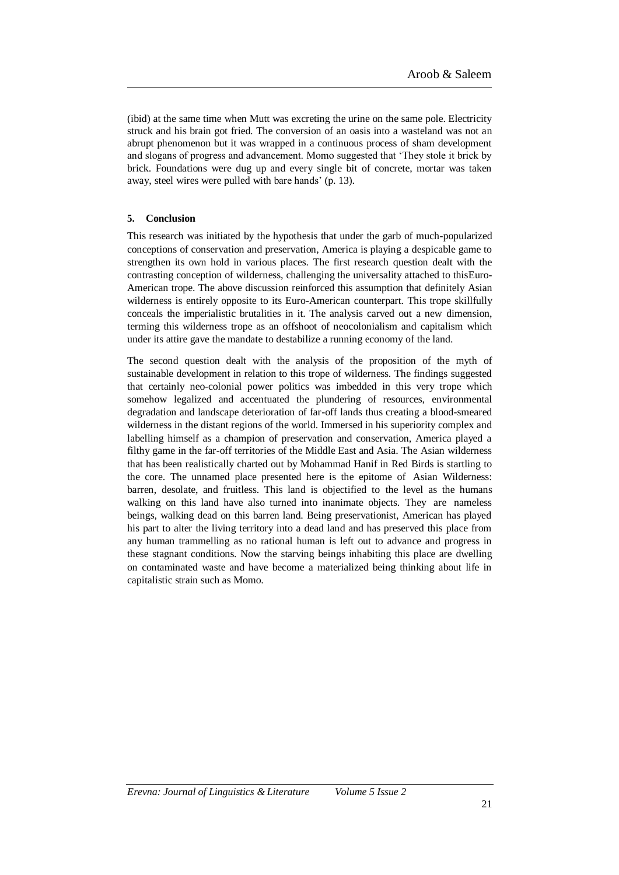(ibid) at the same time when Mutt was excreting the urine on the same pole. Electricity struck and his brain got fried. The conversion of an oasis into a wasteland was not an abrupt phenomenon but it was wrapped in a continuous process of sham development and slogans of progress and advancement. Momo suggested that 'They stole it brick by brick. Foundations were dug up and every single bit of concrete, mortar was taken away, steel wires were pulled with bare hands' (p. 13).

#### **5. Conclusion**

This research was initiated by the hypothesis that under the garb of much-popularized conceptions of conservation and preservation, America is playing a despicable game to strengthen its own hold in various places. The first research question dealt with the contrasting conception of wilderness, challenging the universality attached to thisEuro-American trope. The above discussion reinforced this assumption that definitely Asian wilderness is entirely opposite to its Euro-American counterpart. This trope skillfully conceals the imperialistic brutalities in it. The analysis carved out a new dimension, terming this wilderness trope as an offshoot of neocolonialism and capitalism which under its attire gave the mandate to destabilize a running economy of the land.

The second question dealt with the analysis of the proposition of the myth of sustainable development in relation to this trope of wilderness. The findings suggested that certainly neo-colonial power politics was imbedded in this very trope which somehow legalized and accentuated the plundering of resources, environmental degradation and landscape deterioration of far-off lands thus creating a blood-smeared wilderness in the distant regions of the world. Immersed in his superiority complex and labelling himself as a champion of preservation and conservation, America played a filthy game in the far-off territories of the Middle East and Asia. The Asian wilderness that has been realistically charted out by Mohammad Hanif in Red Birds is startling to the core. The unnamed place presented here is the epitome of Asian Wilderness: barren, desolate, and fruitless. This land is objectified to the level as the humans walking on this land have also turned into inanimate objects. They are nameless beings, walking dead on this barren land. Being preservationist, American has played his part to alter the living territory into a dead land and has preserved this place from any human trammelling as no rational human is left out to advance and progress in these stagnant conditions. Now the starving beings inhabiting this place are dwelling on contaminated waste and have become a materialized being thinking about life in capitalistic strain such as Momo.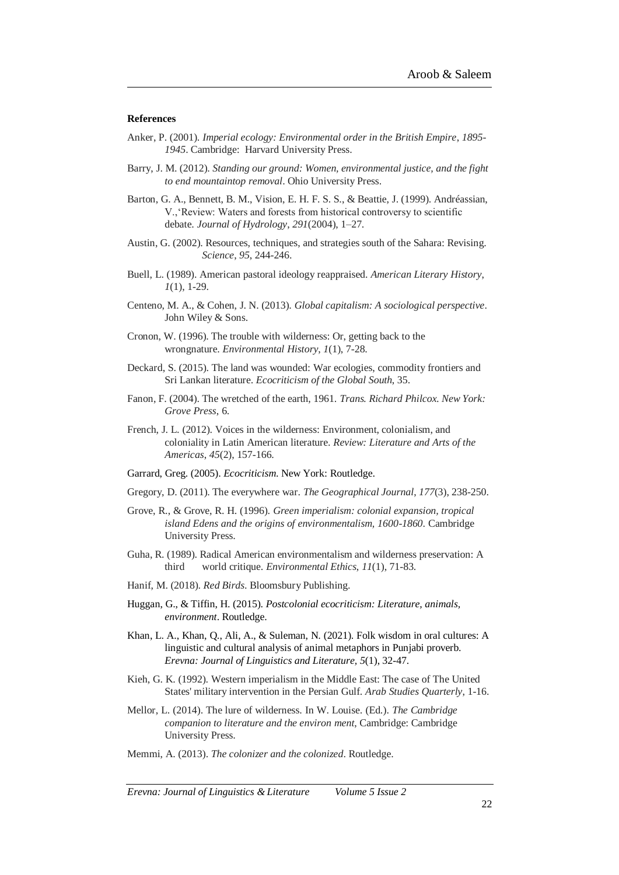#### **References**

- Anker, P. (2001). *Imperial ecology: Environmental order in the British Empire*, *1895- 1945*. Cambridge: Harvard University Press.
- Barry, J. M. (2012). *Standing our ground: Women, environmental justice, and the fight to end mountaintop removal*. Ohio University Press.
- Barton, G. A., Bennett, B. M., Vision, E. H. F. S. S., & Beattie, J. (1999). Andréassian, V.,'Review: Waters and forests from historical controversy to scientific debate. *Journal of Hydrology*, *291*(2004), 1–27.
- Austin, G. (2002). Resources, techniques, and strategies south of the Sahara: Revising. *Science*, *95*, 244-246.
- Buell, L. (1989). American pastoral ideology reappraised. *American Literary History*, *1*(1), 1-29.
- Centeno, M. A., & Cohen, J. N. (2013). *Global capitalism: A sociological perspective*. John Wiley & Sons.
- Cronon, W. (1996). The trouble with wilderness: Or, getting back to the wrongnature. *Environmental History*, *1*(1), 7-28.
- Deckard, S. (2015). The land was wounded: War ecologies, commodity frontiers and Sri Lankan literature. *Ecocriticism of the Global South*, 35.
- Fanon, F. (2004). The wretched of the earth, 1961. *Trans. Richard Philcox. New York: Grove Press*, 6.
- French, J. L. (2012). Voices in the wilderness: Environment, colonialism, and coloniality in Latin American literature. *Review: Literature and Arts of the Americas*, *45*(2), 157-166.
- Garrard, Greg. (2005). *Ecocriticism*. New York: Routledge.
- Gregory, D. (2011). The everywhere war. *The Geographical Journal*, *177*(3), 238-250.
- Grove, R., & Grove, R. H. (1996). *Green imperialism: colonial expansion, tropical island Edens and the origins of environmentalism, 1600-1860*. Cambridge University Press.
- Guha, R. (1989). Radical American environmentalism and wilderness preservation: A third world critique. *Environmental Ethics*, *11*(1), 71-83.
- Hanif, M. (2018). *Red Birds*. Bloomsbury Publishing.
- Huggan, G., & Tiffin, H. (2015). *Postcolonial ecocriticism: Literature, animals, environment*. Routledge.
- Khan, L. A., Khan, Q., Ali, A., & Suleman, N. (2021). Folk wisdom in oral cultures: A linguistic and cultural analysis of animal metaphors in Punjabi proverb. *Erevna: Journal of Linguistics and Literature, 5*(1), 32-47.
- Kieh, G. K. (1992). Western imperialism in the Middle East: The case of The United States' military intervention in the Persian Gulf. *Arab Studies Quarterly*, 1-16.
- Mellor, L. (2014). The lure of wilderness. In W. Louise. (Ed.). *The Cambridge companion to literature and the environ ment*, Cambridge: Cambridge University Press.
- Memmi, A. (2013). *The colonizer and the colonized*. Routledge.

*Erevna: Journal of Linguistics & Literature Volume 5 Issue 2*